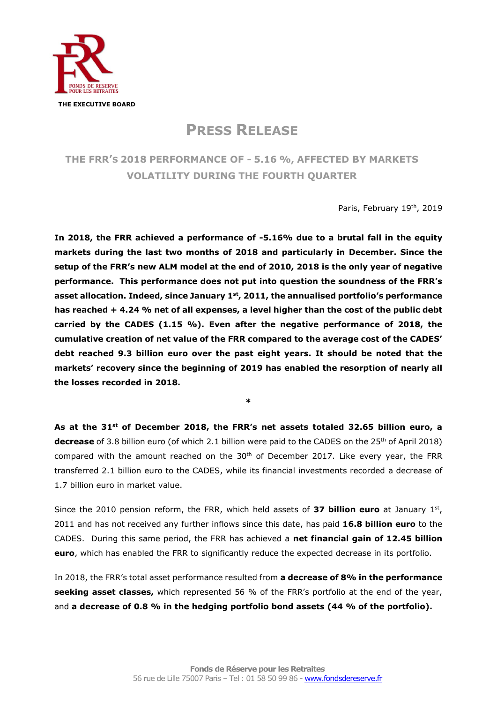

**PRESS RELEASE**

## **THE FRR'S 2018 PERFORMANCE OF - 5.16 %, AFFECTED BY MARKETS VOLATILITY DURING THE FOURTH QUARTER**

Paris, February 19th, 2019

**In 2018, the FRR achieved a performance of -5.16% due to a brutal fall in the equity markets during the last two months of 2018 and particularly in December. Since the setup of the FRR's new ALM model at the end of 2010, 2018 is the only year of negative performance. This performance does not put into question the soundness of the FRR's asset allocation. Indeed, since January 1st , 2011, the annualised portfolio's performance has reached + 4.24 % net of all expenses, a level higher than the cost of the public debt carried by the CADES (1.15 %). Even after the negative performance of 2018, the cumulative creation of net value of the FRR compared to the average cost of the CADES' debt reached 9.3 billion euro over the past eight years. It should be noted that the markets' recovery since the beginning of 2019 has enabled the resorption of nearly all the losses recorded in 2018.** 

**As at the 31st of December 2018, the FRR's net assets totaled 32.65 billion euro, a decrease** of 3.8 billion euro (of which 2.1 billion were paid to the CADES on the 25<sup>th</sup> of April 2018) compared with the amount reached on the  $30<sup>th</sup>$  of December 2017. Like every year, the FRR transferred 2.1 billion euro to the CADES, while its financial investments recorded a decrease of 1.7 billion euro in market value.

**\***

Since the 2010 pension reform, the FRR, which held assets of 37 billion euro at January 1st, 2011 and has not received any further inflows since this date, has paid **16.8 billion euro** to the CADES. During this same period, the FRR has achieved a **net financial gain of 12.45 billion euro**, which has enabled the FRR to significantly reduce the expected decrease in its portfolio.

In 2018, the FRR's total asset performance resulted from **a decrease of 8% in the performance seeking asset classes,** which represented 56 % of the FRR's portfolio at the end of the year, and **a decrease of 0.8 % in the hedging portfolio bond assets (44 % of the portfolio).**